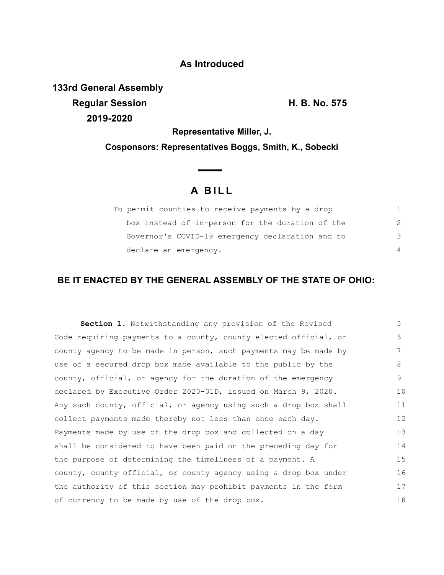## **As Introduced**

**133rd General Assembly Regular Session H. B. No. 575 2019-2020**

**Representative Miller, J.**

**Cosponsors: Representatives Boggs, Smith, K., Sobecki**

## **A B I L L**

**Contract Contract Contract** 

| To permit counties to receive payments by a drop |                |
|--------------------------------------------------|----------------|
| box instead of in-person for the duration of the | $\mathcal{P}$  |
| Governor's COVID-19 emergency declaration and to | 3              |
| declare an emergency.                            | $\overline{4}$ |

## **BE IT ENACTED BY THE GENERAL ASSEMBLY OF THE STATE OF OHIO:**

| <b>Section 1.</b> Notwithstanding any provision of the Revised   | 5  |
|------------------------------------------------------------------|----|
| Code requiring payments to a county, county elected official, or | 6  |
| county agency to be made in person, such payments may be made by | 7  |
| use of a secured drop box made available to the public by the    | 8  |
| county, official, or agency for the duration of the emergency    | 9  |
| declared by Executive Order 2020-01D, issued on March 9, 2020.   | 10 |
| Any such county, official, or agency using such a drop box shall | 11 |
| collect payments made thereby not less than once each day.       | 12 |
| Payments made by use of the drop box and collected on a day      | 13 |
| shall be considered to have been paid on the preceding day for   | 14 |
| the purpose of determining the timeliness of a payment. A        | 15 |
| county, county official, or county agency using a drop box under | 16 |
| the authority of this section may prohibit payments in the form  | 17 |
| of currency to be made by use of the drop box.                   | 18 |